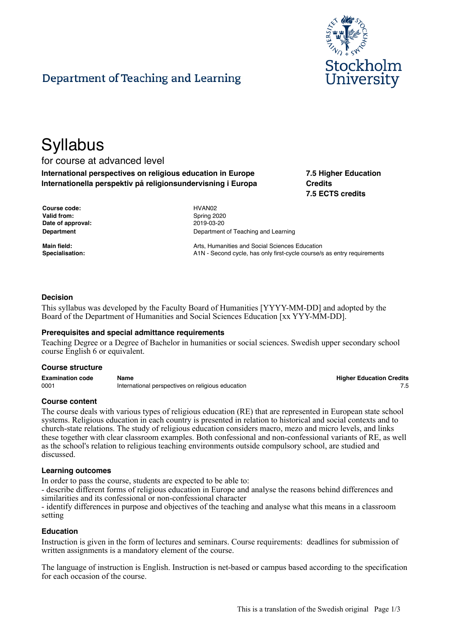

# Department of Teaching and Learning

# **Syllabus**

# for course at advanced level

**International perspectives on religious education in Europe Internationella perspektiv på religionsundervisning i Europa** **7.5 Higher Education Credits 7.5 ECTS credits**

| Course code:      |  |
|-------------------|--|
| Valid from:       |  |
| Date of approval: |  |
| <b>Department</b> |  |

**Course code:** HVAN02 **Valid from:** Spring 2020 **Date of approval:** 2019-03-20 **Department of Teaching and Learning** 

**Main field:** Arts, Humanities and Social Sciences Education **Arts**, Humanities and Social Sciences Education **Specialisation:** A1N - Second cycle, has only first-cycle course/s as entry requirements

# **Decision**

This syllabus was developed by the Faculty Board of Humanities [YYYY-MM-DD] and adopted by the Board of the Department of Humanities and Social Sciences Education [xx YYY-MM-DD].

#### **Prerequisites and special admittance requirements**

Teaching Degree or a Degree of Bachelor in humanities or social sciences. Swedish upper secondary school course English 6 or equivalent.

#### **Course structure**

| <b>Examination code</b> | Name                                              | <b>Higher Education Credits</b> |
|-------------------------|---------------------------------------------------|---------------------------------|
| 0001                    | International perspectives on religious education |                                 |

#### **Course content**

The course deals with various types of religious education (RE) that are represented in European state school systems. Religious education in each country is presented in relation to historical and social contexts and to church-state relations. The study of religious education considers macro, mezo and micro levels, and links these together with clear classroom examples. Both confessional and non-confessional variants of RE, as well as the school's relation to religious teaching environments outside compulsory school, are studied and discussed.

#### **Learning outcomes**

In order to pass the course, students are expected to be able to:

- describe different forms of religious education in Europe and analyse the reasons behind differences and similarities and its confessional or non-confessional character

- identify differences in purpose and objectives of the teaching and analyse what this means in a classroom setting

#### **Education**

Instruction is given in the form of lectures and seminars. Course requirements: deadlines for submission of written assignments is a mandatory element of the course.

The language of instruction is English. Instruction is net-based or campus based according to the specification for each occasion of the course.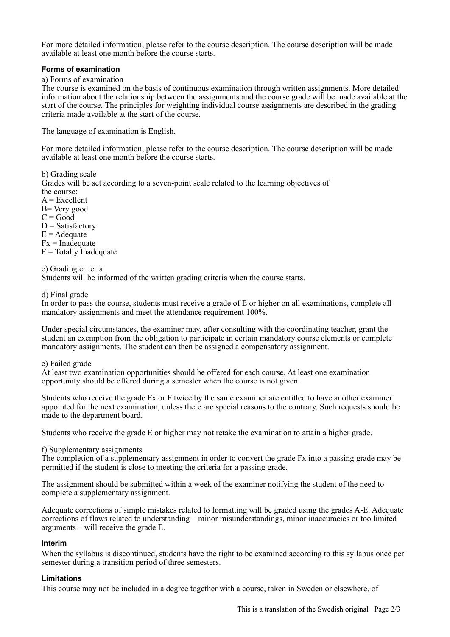For more detailed information, please refer to the course description. The course description will be made available at least one month before the course starts.

### **Forms of examination**

a) Forms of examination

The course is examined on the basis of continuous examination through written assignments. More detailed information about the relationship between the assignments and the course grade will be made available at the start of the course. The principles for weighting individual course assignments are described in the grading criteria made available at the start of the course.

The language of examination is English.

For more detailed information, please refer to the course description. The course description will be made available at least one month before the course starts.

b) Grading scale Grades will be set according to a seven-point scale related to the learning objectives of the course:  $A = Excellent$ B= Very good  $C = Good$  $D = Satisfactory$  $E =$  Adequate  $Fx = Inad$ equate

 $F = \text{Totally Inadequate}$ 

c) Grading criteria

Students will be informed of the written grading criteria when the course starts.

d) Final grade

In order to pass the course, students must receive a grade of E or higher on all examinations, complete all mandatory assignments and meet the attendance requirement 100%.

Under special circumstances, the examiner may, after consulting with the coordinating teacher, grant the student an exemption from the obligation to participate in certain mandatory course elements or complete mandatory assignments. The student can then be assigned a compensatory assignment.

e) Failed grade

At least two examination opportunities should be offered for each course. At least one examination opportunity should be offered during a semester when the course is not given.

Students who receive the grade Fx or F twice by the same examiner are entitled to have another examiner appointed for the next examination, unless there are special reasons to the contrary. Such requests should be made to the department board.

Students who receive the grade E or higher may not retake the examination to attain a higher grade.

f) Supplementary assignments

The completion of a supplementary assignment in order to convert the grade Fx into a passing grade may be permitted if the student is close to meeting the criteria for a passing grade.

The assignment should be submitted within a week of the examiner notifying the student of the need to complete a supplementary assignment.

Adequate corrections of simple mistakes related to formatting will be graded using the grades A-E. Adequate corrections of flaws related to understanding – minor misunderstandings, minor inaccuracies or too limited arguments – will receive the grade E.

#### **Interim**

When the syllabus is discontinued, students have the right to be examined according to this syllabus once per semester during a transition period of three semesters.

# **Limitations**

This course may not be included in a degree together with a course, taken in Sweden or elsewhere, of